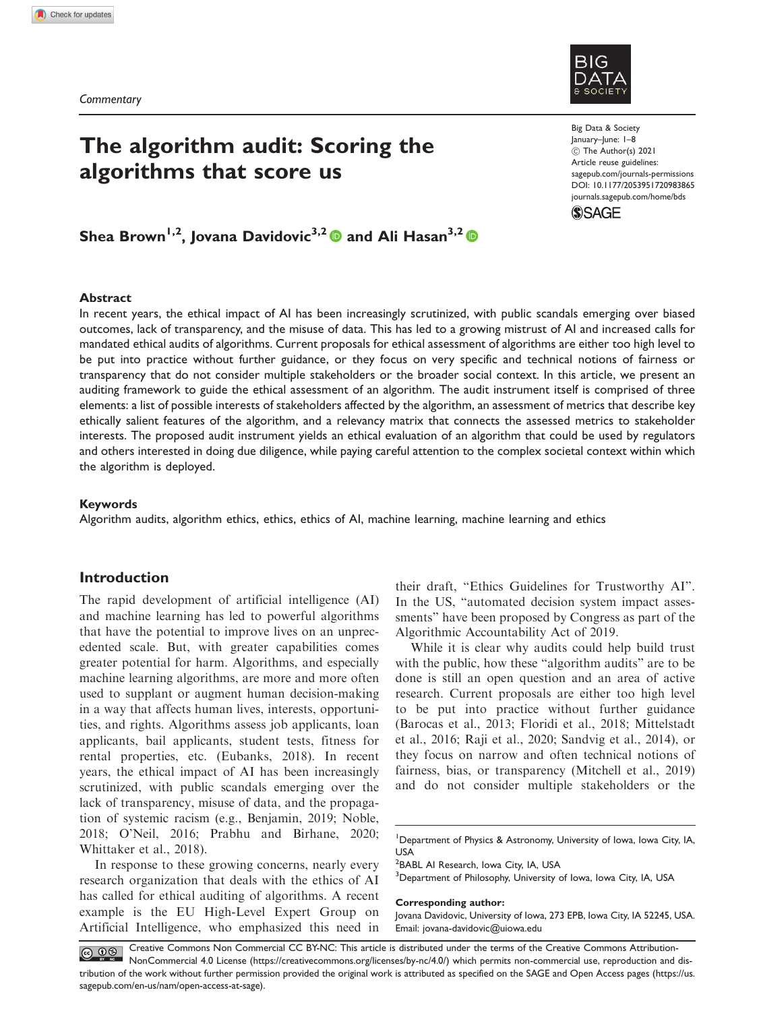

# The algorithm audit: Scoring the algorithms that score us

Big Data & Society January–June: 1–8  $©$  The Author(s) 2021 Article reuse guidelines: [sagepub.com/journals-permissions](http://uk.sagepub.com/en-gb/journals-permissions) [DOI: 10.1177/2053951720983865](http://dx.doi.org/10.1177/2053951720983865) <journals.sagepub.com/home/bds>



# Shea Brown<sup>1,2</sup>, Jovana Davidovic<sup>3,2</sup> and Ali Hasan<sup>3,2</sup> and

## Abstract

In recent years, the ethical impact of AI has been increasingly scrutinized, with public scandals emerging over biased outcomes, lack of transparency, and the misuse of data. This has led to a growing mistrust of AI and increased calls for mandated ethical audits of algorithms. Current proposals for ethical assessment of algorithms are either too high level to be put into practice without further guidance, or they focus on very specific and technical notions of fairness or transparency that do not consider multiple stakeholders or the broader social context. In this article, we present an auditing framework to guide the ethical assessment of an algorithm. The audit instrument itself is comprised of three elements: a list of possible interests of stakeholders affected by the algorithm, an assessment of metrics that describe key ethically salient features of the algorithm, and a relevancy matrix that connects the assessed metrics to stakeholder interests. The proposed audit instrument yields an ethical evaluation of an algorithm that could be used by regulators and others interested in doing due diligence, while paying careful attention to the complex societal context within which the algorithm is deployed.

#### Keywords

Algorithm audits, algorithm ethics, ethics, ethics of AI, machine learning, machine learning and ethics

# Introduction

The rapid development of artificial intelligence (AI) and machine learning has led to powerful algorithms that have the potential to improve lives on an unprecedented scale. But, with greater capabilities comes greater potential for harm. Algorithms, and especially machine learning algorithms, are more and more often used to supplant or augment human decision-making in a way that affects human lives, interests, opportunities, and rights. Algorithms assess job applicants, loan applicants, bail applicants, student tests, fitness for rental properties, etc. (Eubanks, 2018). In recent years, the ethical impact of AI has been increasingly scrutinized, with public scandals emerging over the lack of transparency, misuse of data, and the propagation of systemic racism (e.g., Benjamin, 2019; Noble, 2018; O'Neil, 2016; Prabhu and Birhane, 2020; Whittaker et al., 2018).

In response to these growing concerns, nearly every research organization that deals with the ethics of AI has called for ethical auditing of algorithms. A recent example is the EU High-Level Expert Group on Artificial Intelligence, who emphasized this need in

their draft, "Ethics Guidelines for Trustworthy AI". In the US, "automated decision system impact assessments" have been proposed by Congress as part of the Algorithmic Accountability Act of 2019.

While it is clear why audits could help build trust with the public, how these "algorithm audits" are to be done is still an open question and an area of active research. Current proposals are either too high level to be put into practice without further guidance (Barocas et al., 2013; Floridi et al., 2018; Mittelstadt et al., 2016; Raji et al., 2020; Sandvig et al., 2014), or they focus on narrow and often technical notions of fairness, bias, or transparency (Mitchell et al., 2019) and do not consider multiple stakeholders or the

<sup>2</sup>BABL AI Research, Iowa City, IA, USA

<sup>3</sup>Department of Philosophy, University of Iowa, Iowa City, IA, USA

#### Corresponding author:

Jovana Davidovic, University of Iowa, 273 EPB, Iowa City, IA 52245, USA. Email: [jovana-davidovic@uiowa.edu](mailto:jovana-davidovic@uiowa.edu)

Creative Commons Non Commercial CC BY-NC: This article is distributed under the terms of the Creative Commons Attribution-NonCommercial 4.0 License (https://creativecommons.org/licenses/by-nc/4.0/) which permits non-commercial use, reproduction and distribution of the work without further permission provided the original work is attributed as specified on the SAGE and Open Access pages (https://us. sagepub.com/en-us/nam/open-access-at-sage).

<sup>&</sup>lt;sup>1</sup>Department of Physics & Astronomy, University of Iowa, Iowa City, IA, USA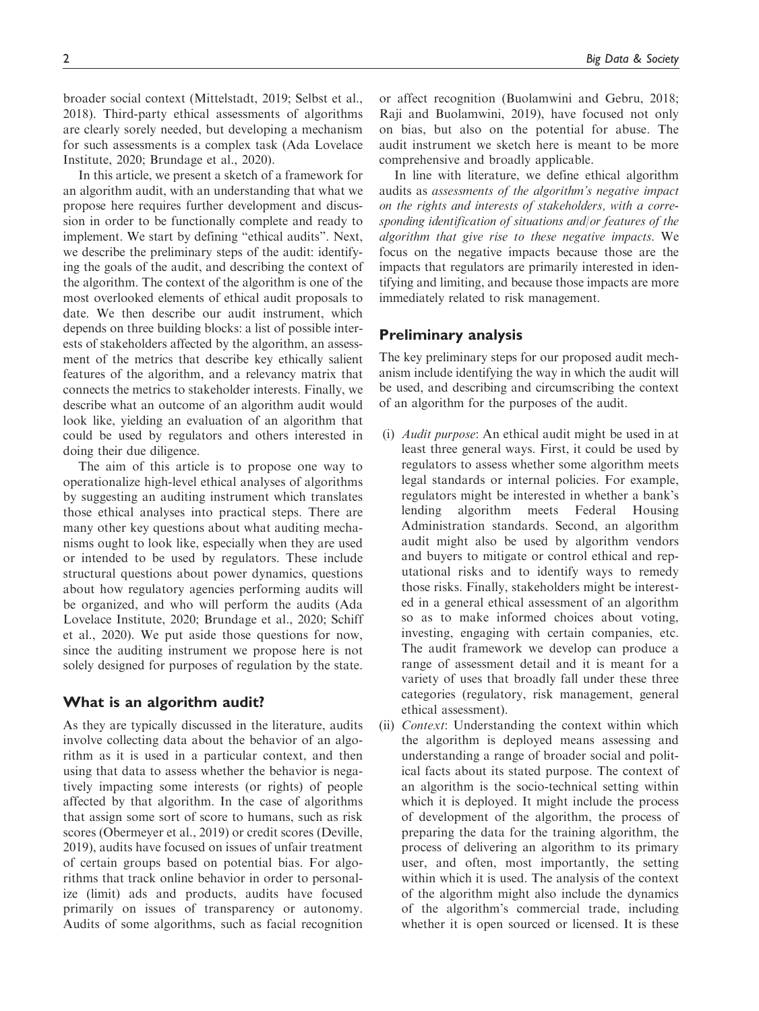broader social context (Mittelstadt, 2019; Selbst et al., 2018). Third-party ethical assessments of algorithms are clearly sorely needed, but developing a mechanism for such assessments is a complex task (Ada Lovelace Institute, 2020; Brundage et al., 2020).

In this article, we present a sketch of a framework for an algorithm audit, with an understanding that what we propose here requires further development and discussion in order to be functionally complete and ready to implement. We start by defining "ethical audits". Next, we describe the preliminary steps of the audit: identifying the goals of the audit, and describing the context of the algorithm. The context of the algorithm is one of the most overlooked elements of ethical audit proposals to date. We then describe our audit instrument, which depends on three building blocks: a list of possible interests of stakeholders affected by the algorithm, an assessment of the metrics that describe key ethically salient features of the algorithm, and a relevancy matrix that connects the metrics to stakeholder interests. Finally, we describe what an outcome of an algorithm audit would look like, yielding an evaluation of an algorithm that could be used by regulators and others interested in doing their due diligence.

The aim of this article is to propose one way to operationalize high-level ethical analyses of algorithms by suggesting an auditing instrument which translates those ethical analyses into practical steps. There are many other key questions about what auditing mechanisms ought to look like, especially when they are used or intended to be used by regulators. These include structural questions about power dynamics, questions about how regulatory agencies performing audits will be organized, and who will perform the audits (Ada Lovelace Institute, 2020; Brundage et al., 2020; Schiff et al., 2020). We put aside those questions for now, since the auditing instrument we propose here is not solely designed for purposes of regulation by the state.

# What is an algorithm audit?

As they are typically discussed in the literature, audits involve collecting data about the behavior of an algorithm as it is used in a particular context, and then using that data to assess whether the behavior is negatively impacting some interests (or rights) of people affected by that algorithm. In the case of algorithms that assign some sort of score to humans, such as risk scores (Obermeyer et al., 2019) or credit scores (Deville, 2019), audits have focused on issues of unfair treatment of certain groups based on potential bias. For algorithms that track online behavior in order to personalize (limit) ads and products, audits have focused primarily on issues of transparency or autonomy. Audits of some algorithms, such as facial recognition or affect recognition (Buolamwini and Gebru, 2018; Raji and Buolamwini, 2019), have focused not only on bias, but also on the potential for abuse. The audit instrument we sketch here is meant to be more comprehensive and broadly applicable.

In line with literature, we define ethical algorithm audits as assessments of the algorithm's negative impact on the rights and interests of stakeholders, with a corresponding identification of situations and/or features of the algorithm that give rise to these negative impacts. We focus on the negative impacts because those are the impacts that regulators are primarily interested in identifying and limiting, and because those impacts are more immediately related to risk management.

# Preliminary analysis

The key preliminary steps for our proposed audit mechanism include identifying the way in which the audit will be used, and describing and circumscribing the context of an algorithm for the purposes of the audit.

- (i) Audit purpose: An ethical audit might be used in at least three general ways. First, it could be used by regulators to assess whether some algorithm meets legal standards or internal policies. For example, regulators might be interested in whether a bank's lending algorithm meets Federal Housing Administration standards. Second, an algorithm audit might also be used by algorithm vendors and buyers to mitigate or control ethical and reputational risks and to identify ways to remedy those risks. Finally, stakeholders might be interested in a general ethical assessment of an algorithm so as to make informed choices about voting, investing, engaging with certain companies, etc. The audit framework we develop can produce a range of assessment detail and it is meant for a variety of uses that broadly fall under these three categories (regulatory, risk management, general ethical assessment).
- (ii) Context: Understanding the context within which the algorithm is deployed means assessing and understanding a range of broader social and political facts about its stated purpose. The context of an algorithm is the socio-technical setting within which it is deployed. It might include the process of development of the algorithm, the process of preparing the data for the training algorithm, the process of delivering an algorithm to its primary user, and often, most importantly, the setting within which it is used. The analysis of the context of the algorithm might also include the dynamics of the algorithm's commercial trade, including whether it is open sourced or licensed. It is these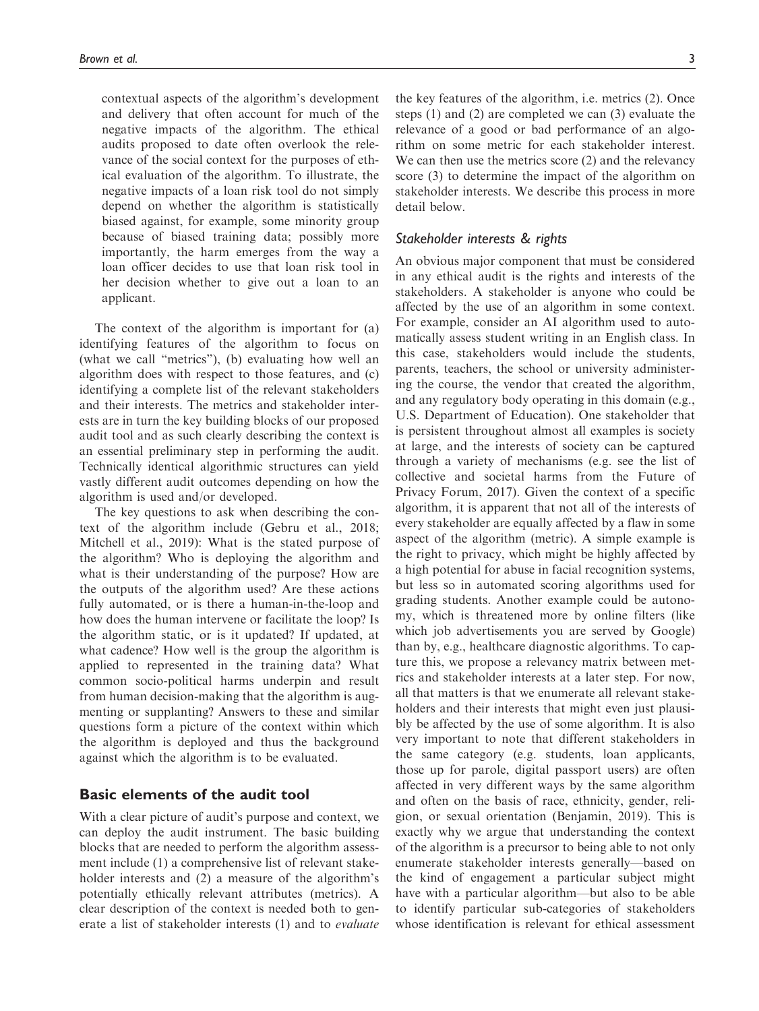contextual aspects of the algorithm's development and delivery that often account for much of the negative impacts of the algorithm. The ethical audits proposed to date often overlook the relevance of the social context for the purposes of ethical evaluation of the algorithm. To illustrate, the negative impacts of a loan risk tool do not simply depend on whether the algorithm is statistically biased against, for example, some minority group because of biased training data; possibly more importantly, the harm emerges from the way a loan officer decides to use that loan risk tool in her decision whether to give out a loan to an applicant.

The context of the algorithm is important for (a) identifying features of the algorithm to focus on (what we call "metrics"), (b) evaluating how well an algorithm does with respect to those features, and (c) identifying a complete list of the relevant stakeholders and their interests. The metrics and stakeholder interests are in turn the key building blocks of our proposed audit tool and as such clearly describing the context is an essential preliminary step in performing the audit. Technically identical algorithmic structures can yield vastly different audit outcomes depending on how the algorithm is used and/or developed.

The key questions to ask when describing the context of the algorithm include (Gebru et al., 2018; Mitchell et al., 2019): What is the stated purpose of the algorithm? Who is deploying the algorithm and what is their understanding of the purpose? How are the outputs of the algorithm used? Are these actions fully automated, or is there a human-in-the-loop and how does the human intervene or facilitate the loop? Is the algorithm static, or is it updated? If updated, at what cadence? How well is the group the algorithm is applied to represented in the training data? What common socio-political harms underpin and result from human decision-making that the algorithm is augmenting or supplanting? Answers to these and similar questions form a picture of the context within which the algorithm is deployed and thus the background against which the algorithm is to be evaluated.

# Basic elements of the audit tool

With a clear picture of audit's purpose and context, we can deploy the audit instrument. The basic building blocks that are needed to perform the algorithm assessment include (1) a comprehensive list of relevant stakeholder interests and (2) a measure of the algorithm's potentially ethically relevant attributes (metrics). A clear description of the context is needed both to generate a list of stakeholder interests (1) and to evaluate

the key features of the algorithm, i.e. metrics (2). Once steps (1) and (2) are completed we can (3) evaluate the relevance of a good or bad performance of an algorithm on some metric for each stakeholder interest. We can then use the metrics score (2) and the relevancy score (3) to determine the impact of the algorithm on stakeholder interests. We describe this process in more detail below.

## Stakeholder interests & rights

An obvious major component that must be considered in any ethical audit is the rights and interests of the stakeholders. A stakeholder is anyone who could be affected by the use of an algorithm in some context. For example, consider an AI algorithm used to automatically assess student writing in an English class. In this case, stakeholders would include the students, parents, teachers, the school or university administering the course, the vendor that created the algorithm, and any regulatory body operating in this domain (e.g., U.S. Department of Education). One stakeholder that is persistent throughout almost all examples is society at large, and the interests of society can be captured through a variety of mechanisms (e.g. see the list of collective and societal harms from the Future of Privacy Forum, 2017). Given the context of a specific algorithm, it is apparent that not all of the interests of every stakeholder are equally affected by a flaw in some aspect of the algorithm (metric). A simple example is the right to privacy, which might be highly affected by a high potential for abuse in facial recognition systems, but less so in automated scoring algorithms used for grading students. Another example could be autonomy, which is threatened more by online filters (like which job advertisements you are served by Google) than by, e.g., healthcare diagnostic algorithms. To capture this, we propose a relevancy matrix between metrics and stakeholder interests at a later step. For now, all that matters is that we enumerate all relevant stakeholders and their interests that might even just plausibly be affected by the use of some algorithm. It is also very important to note that different stakeholders in the same category (e.g. students, loan applicants, those up for parole, digital passport users) are often affected in very different ways by the same algorithm and often on the basis of race, ethnicity, gender, religion, or sexual orientation (Benjamin, 2019). This is exactly why we argue that understanding the context of the algorithm is a precursor to being able to not only enumerate stakeholder interests generally—based on the kind of engagement a particular subject might have with a particular algorithm—but also to be able to identify particular sub-categories of stakeholders whose identification is relevant for ethical assessment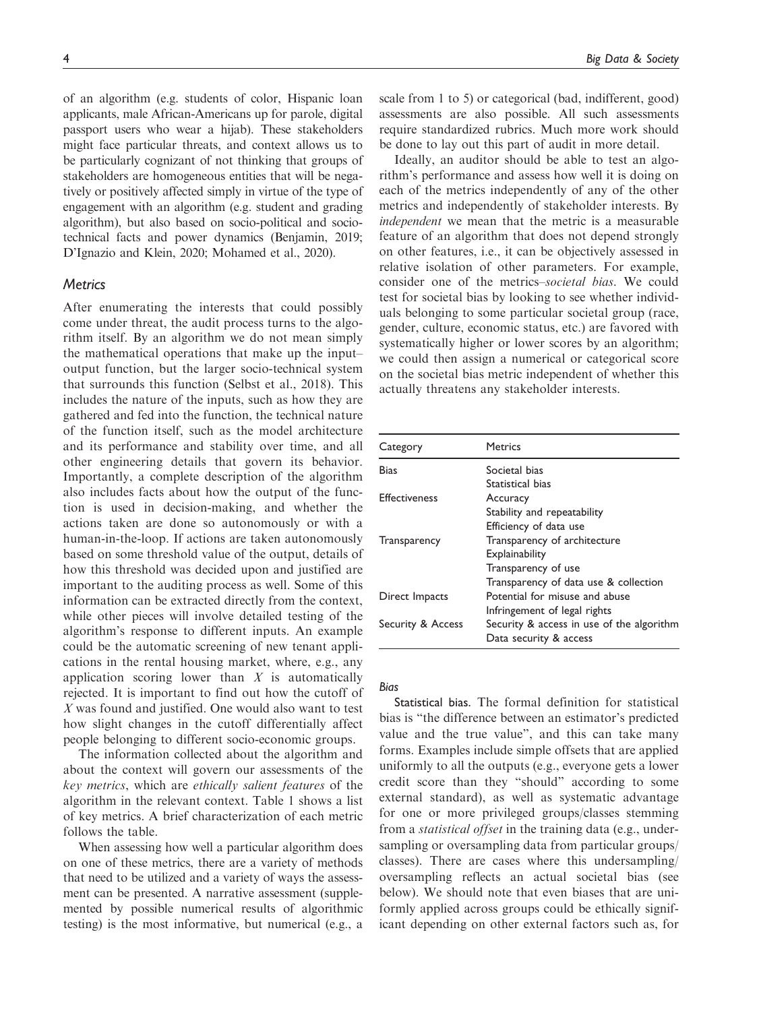of an algorithm (e.g. students of color, Hispanic loan applicants, male African-Americans up for parole, digital passport users who wear a hijab). These stakeholders might face particular threats, and context allows us to be particularly cognizant of not thinking that groups of stakeholders are homogeneous entities that will be negatively or positively affected simply in virtue of the type of engagement with an algorithm (e.g. student and grading algorithm), but also based on socio-political and sociotechnical facts and power dynamics (Benjamin, 2019; D'Ignazio and Klein, 2020; Mohamed et al., 2020).

# **Metrics**

After enumerating the interests that could possibly come under threat, the audit process turns to the algorithm itself. By an algorithm we do not mean simply the mathematical operations that make up the input– output function, but the larger socio-technical system that surrounds this function (Selbst et al., 2018). This includes the nature of the inputs, such as how they are gathered and fed into the function, the technical nature of the function itself, such as the model architecture and its performance and stability over time, and all other engineering details that govern its behavior. Importantly, a complete description of the algorithm also includes facts about how the output of the function is used in decision-making, and whether the actions taken are done so autonomously or with a human-in-the-loop. If actions are taken autonomously based on some threshold value of the output, details of how this threshold was decided upon and justified are important to the auditing process as well. Some of this information can be extracted directly from the context, while other pieces will involve detailed testing of the algorithm's response to different inputs. An example could be the automatic screening of new tenant applications in the rental housing market, where, e.g., any application scoring lower than  $X$  is automatically rejected. It is important to find out how the cutoff of X was found and justified. One would also want to test how slight changes in the cutoff differentially affect people belonging to different socio-economic groups.

The information collected about the algorithm and about the context will govern our assessments of the key metrics, which are ethically salient features of the algorithm in the relevant context. Table 1 shows a list of key metrics. A brief characterization of each metric follows the table.

When assessing how well a particular algorithm does on one of these metrics, there are a variety of methods that need to be utilized and a variety of ways the assessment can be presented. A narrative assessment (supplemented by possible numerical results of algorithmic testing) is the most informative, but numerical (e.g., a scale from 1 to 5) or categorical (bad, indifferent, good) assessments are also possible. All such assessments require standardized rubrics. Much more work should be done to lay out this part of audit in more detail.

Ideally, an auditor should be able to test an algorithm's performance and assess how well it is doing on each of the metrics independently of any of the other metrics and independently of stakeholder interests. By independent we mean that the metric is a measurable feature of an algorithm that does not depend strongly on other features, i.e., it can be objectively assessed in relative isolation of other parameters. For example, consider one of the metrics–societal bias. We could test for societal bias by looking to see whether individuals belonging to some particular societal group (race, gender, culture, economic status, etc.) are favored with systematically higher or lower scores by an algorithm; we could then assign a numerical or categorical score on the societal bias metric independent of whether this actually threatens any stakeholder interests.

| Category             | <b>Metrics</b>                            |
|----------------------|-------------------------------------------|
| Bias                 | Societal bias                             |
|                      | Statistical bias                          |
| <b>Effectiveness</b> | Accuracy                                  |
|                      | Stability and repeatability               |
|                      | Efficiency of data use                    |
| Transparency         | Transparency of architecture              |
|                      | Explainability                            |
|                      | Transparency of use                       |
|                      | Transparency of data use & collection     |
| Direct Impacts       | Potential for misuse and abuse            |
|                      | Infringement of legal rights              |
| Security & Access    | Security & access in use of the algorithm |
|                      | Data security & access                    |

#### Bias

Statistical bias. The formal definition for statistical bias is "the difference between an estimator's predicted value and the true value", and this can take many forms. Examples include simple offsets that are applied uniformly to all the outputs (e.g., everyone gets a lower credit score than they "should" according to some external standard), as well as systematic advantage for one or more privileged groups/classes stemming from a *statistical offset* in the training data (e.g., undersampling or oversampling data from particular groups/ classes). There are cases where this undersampling/ oversampling reflects an actual societal bias (see below). We should note that even biases that are uniformly applied across groups could be ethically significant depending on other external factors such as, for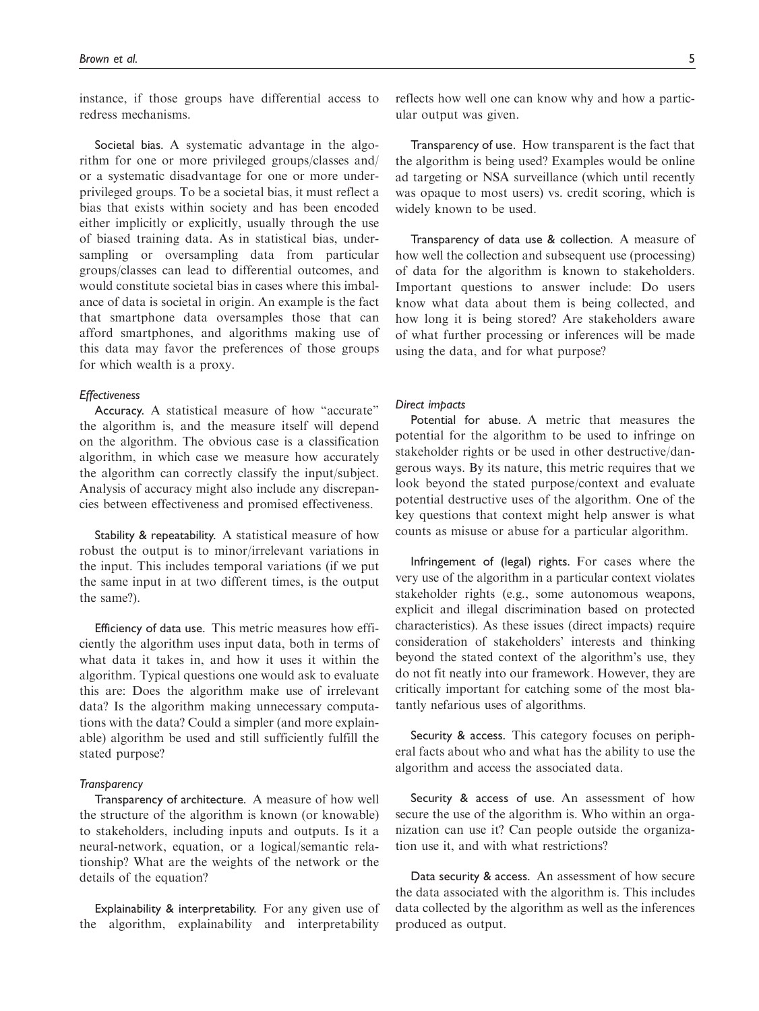instance, if those groups have differential access to redress mechanisms.

Societal bias. A systematic advantage in the algorithm for one or more privileged groups/classes and/ or a systematic disadvantage for one or more underprivileged groups. To be a societal bias, it must reflect a bias that exists within society and has been encoded either implicitly or explicitly, usually through the use of biased training data. As in statistical bias, undersampling or oversampling data from particular groups/classes can lead to differential outcomes, and would constitute societal bias in cases where this imbalance of data is societal in origin. An example is the fact that smartphone data oversamples those that can afford smartphones, and algorithms making use of this data may favor the preferences of those groups for which wealth is a proxy.

#### **Effectiveness**

Accuracy. A statistical measure of how "accurate" the algorithm is, and the measure itself will depend on the algorithm. The obvious case is a classification algorithm, in which case we measure how accurately the algorithm can correctly classify the input/subject. Analysis of accuracy might also include any discrepancies between effectiveness and promised effectiveness.

Stability & repeatability. A statistical measure of how robust the output is to minor/irrelevant variations in the input. This includes temporal variations (if we put the same input in at two different times, is the output the same?).

Efficiency of data use. This metric measures how efficiently the algorithm uses input data, both in terms of what data it takes in, and how it uses it within the algorithm. Typical questions one would ask to evaluate this are: Does the algorithm make use of irrelevant data? Is the algorithm making unnecessary computations with the data? Could a simpler (and more explainable) algorithm be used and still sufficiently fulfill the stated purpose?

#### **Transparency**

Transparency of architecture. A measure of how well the structure of the algorithm is known (or knowable) to stakeholders, including inputs and outputs. Is it a neural-network, equation, or a logical/semantic relationship? What are the weights of the network or the details of the equation?

Explainability & interpretability. For any given use of the algorithm, explainability and interpretability

reflects how well one can know why and how a particular output was given.

Transparency of use. How transparent is the fact that the algorithm is being used? Examples would be online ad targeting or NSA surveillance (which until recently was opaque to most users) vs. credit scoring, which is widely known to be used.

Transparency of data use & collection. A measure of how well the collection and subsequent use (processing) of data for the algorithm is known to stakeholders. Important questions to answer include: Do users know what data about them is being collected, and how long it is being stored? Are stakeholders aware of what further processing or inferences will be made using the data, and for what purpose?

#### Direct impacts

Potential for abuse. A metric that measures the potential for the algorithm to be used to infringe on stakeholder rights or be used in other destructive/dangerous ways. By its nature, this metric requires that we look beyond the stated purpose/context and evaluate potential destructive uses of the algorithm. One of the key questions that context might help answer is what counts as misuse or abuse for a particular algorithm.

Infringement of (legal) rights. For cases where the very use of the algorithm in a particular context violates stakeholder rights (e.g., some autonomous weapons, explicit and illegal discrimination based on protected characteristics). As these issues (direct impacts) require consideration of stakeholders' interests and thinking beyond the stated context of the algorithm's use, they do not fit neatly into our framework. However, they are critically important for catching some of the most blatantly nefarious uses of algorithms.

Security & access. This category focuses on peripheral facts about who and what has the ability to use the algorithm and access the associated data.

Security & access of use. An assessment of how secure the use of the algorithm is. Who within an organization can use it? Can people outside the organization use it, and with what restrictions?

Data security & access. An assessment of how secure the data associated with the algorithm is. This includes data collected by the algorithm as well as the inferences produced as output.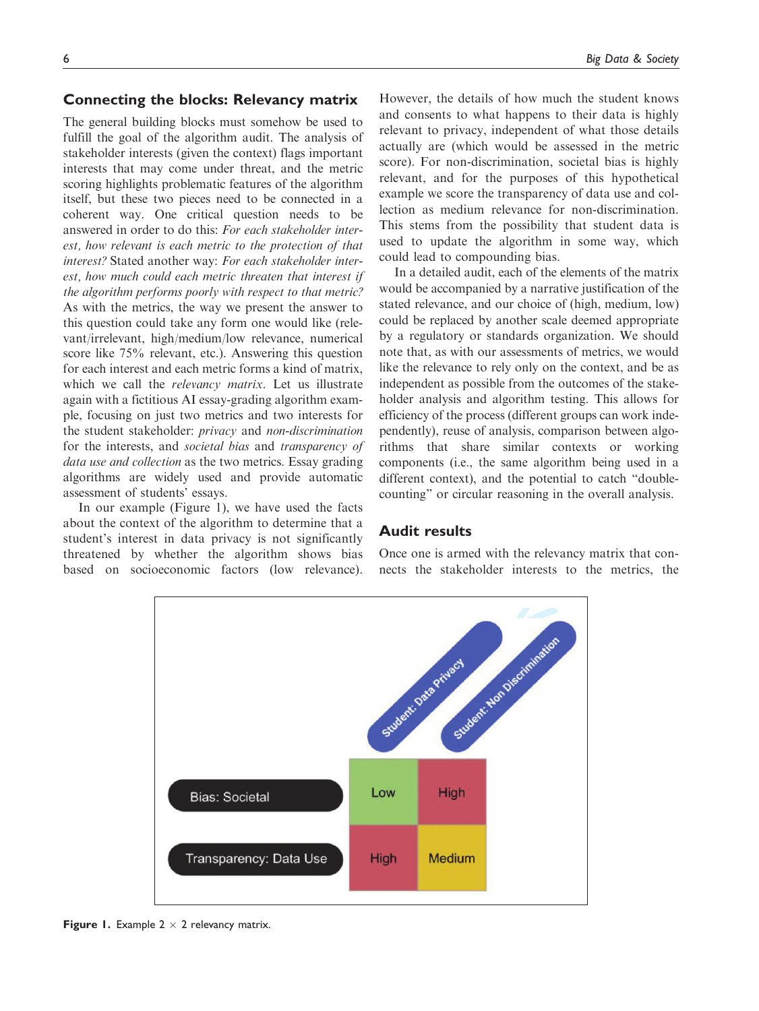# Connecting the blocks: Relevancy matrix

The general building blocks must somehow be used to fulfill the goal of the algorithm audit. The analysis of stakeholder interests (given the context) flags important interests that may come under threat, and the metric scoring highlights problematic features of the algorithm itself, but these two pieces need to be connected in a coherent way. One critical question needs to be answered in order to do this: For each stakeholder interest, how relevant is each metric to the protection of that interest? Stated another way: For each stakeholder interest, how much could each metric threaten that interest if the algorithm performs poorly with respect to that metric? As with the metrics, the way we present the answer to this question could take any form one would like (relevant/irrelevant, high/medium/low relevance, numerical score like 75% relevant, etc.). Answering this question for each interest and each metric forms a kind of matrix, which we call the *relevancy matrix*. Let us illustrate again with a fictitious AI essay-grading algorithm example, focusing on just two metrics and two interests for the student stakeholder: privacy and non-discrimination for the interests, and societal bias and transparency of data use and collection as the two metrics. Essay grading algorithms are widely used and provide automatic assessment of students' essays.

In our example (Figure 1), we have used the facts about the context of the algorithm to determine that a student's interest in data privacy is not significantly threatened by whether the algorithm shows bias based on socioeconomic factors (low relevance). However, the details of how much the student knows and consents to what happens to their data is highly relevant to privacy, independent of what those details actually are (which would be assessed in the metric score). For non-discrimination, societal bias is highly relevant, and for the purposes of this hypothetical example we score the transparency of data use and collection as medium relevance for non-discrimination. This stems from the possibility that student data is used to update the algorithm in some way, which could lead to compounding bias.

In a detailed audit, each of the elements of the matrix would be accompanied by a narrative justification of the stated relevance, and our choice of (high, medium, low) could be replaced by another scale deemed appropriate by a regulatory or standards organization. We should note that, as with our assessments of metrics, we would like the relevance to rely only on the context, and be as independent as possible from the outcomes of the stakeholder analysis and algorithm testing. This allows for efficiency of the process (different groups can work independently), reuse of analysis, comparison between algorithms that share similar contexts or working components (i.e., the same algorithm being used in a different context), and the potential to catch "doublecounting" or circular reasoning in the overall analysis.

# Audit results

Once one is armed with the relevancy matrix that connects the stakeholder interests to the metrics, the



**Figure 1.** Example  $2 \times 2$  relevancy matrix.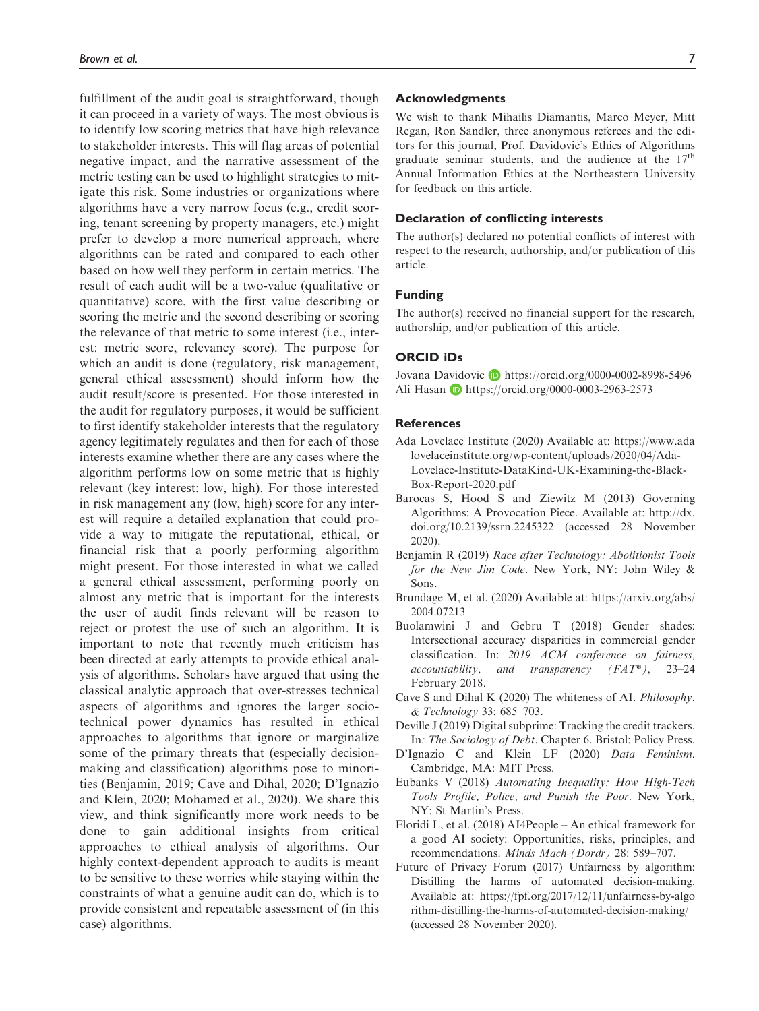fulfillment of the audit goal is straightforward, though it can proceed in a variety of ways. The most obvious is to identify low scoring metrics that have high relevance to stakeholder interests. This will flag areas of potential negative impact, and the narrative assessment of the metric testing can be used to highlight strategies to mitigate this risk. Some industries or organizations where algorithms have a very narrow focus (e.g., credit scoring, tenant screening by property managers, etc.) might prefer to develop a more numerical approach, where algorithms can be rated and compared to each other based on how well they perform in certain metrics. The result of each audit will be a two-value (qualitative or quantitative) score, with the first value describing or scoring the metric and the second describing or scoring the relevance of that metric to some interest (i.e., interest: metric score, relevancy score). The purpose for which an audit is done (regulatory, risk management, general ethical assessment) should inform how the audit result/score is presented. For those interested in the audit for regulatory purposes, it would be sufficient to first identify stakeholder interests that the regulatory agency legitimately regulates and then for each of those interests examine whether there are any cases where the algorithm performs low on some metric that is highly relevant (key interest: low, high). For those interested in risk management any (low, high) score for any interest will require a detailed explanation that could provide a way to mitigate the reputational, ethical, or financial risk that a poorly performing algorithm might present. For those interested in what we called a general ethical assessment, performing poorly on almost any metric that is important for the interests the user of audit finds relevant will be reason to reject or protest the use of such an algorithm. It is important to note that recently much criticism has been directed at early attempts to provide ethical analysis of algorithms. Scholars have argued that using the classical analytic approach that over-stresses technical aspects of algorithms and ignores the larger sociotechnical power dynamics has resulted in ethical approaches to algorithms that ignore or marginalize some of the primary threats that (especially decisionmaking and classification) algorithms pose to minorities (Benjamin, 2019; Cave and Dihal, 2020; D'Ignazio and Klein, 2020; Mohamed et al., 2020). We share this view, and think significantly more work needs to be done to gain additional insights from critical approaches to ethical analysis of algorithms. Our highly context-dependent approach to audits is meant to be sensitive to these worries while staying within the constraints of what a genuine audit can do, which is to provide consistent and repeatable assessment of (in this case) algorithms.

#### Acknowledgments

We wish to thank Mihailis Diamantis, Marco Meyer, Mitt Regan, Ron Sandler, three anonymous referees and the editors for this journal, Prof. Davidovic's Ethics of Algorithms graduate seminar students, and the audience at the  $17<sup>th</sup>$ Annual Information Ethics at the Northeastern University for feedback on this article.

#### Declaration of conflicting interests

The author(s) declared no potential conflicts of interest with respect to the research, authorship, and/or publication of this article.

#### Funding

The author(s) received no financial support for the research, authorship, and/or publication of this article.

# ORCID iDs

Jovana Davidovic D <https://orcid.org/0000-0002-8998-5496> Ali Hasan **b** <https://orcid.org/0000-0003-2963-2573>

#### References

- Ada Lovelace Institute (2020) Available at: [https://www.ada](https://www.adalovelaceinstitute.org/wp-content/uploads/2020/04/Ada-Lovelace-Institute-DataKind-UK-Examining-the-Black-Box-Report-2020.pdf) [lovelaceinstitute.org/wp-content/uploads/2020/04/Ada-](https://www.adalovelaceinstitute.org/wp-content/uploads/2020/04/Ada-Lovelace-Institute-DataKind-UK-Examining-the-Black-Box-Report-2020.pdf)[Lovelace-Institute-DataKind-UK-Examining-the-Black-](https://www.adalovelaceinstitute.org/wp-content/uploads/2020/04/Ada-Lovelace-Institute-DataKind-UK-Examining-the-Black-Box-Report-2020.pdf)[Box-Report-2020.pdf](https://www.adalovelaceinstitute.org/wp-content/uploads/2020/04/Ada-Lovelace-Institute-DataKind-UK-Examining-the-Black-Box-Report-2020.pdf)
- Barocas S, Hood S and Ziewitz M (2013) Governing Algorithms: A Provocation Piece. Available at: [http://dx.](http://dx.doi.org/10.2139/ssrn.2245322) [doi.org/10.2139/ssrn.2245322](http://dx.doi.org/10.2139/ssrn.2245322) (accessed 28 November 2020).
- Benjamin R (2019) Race after Technology: Abolitionist Tools for the New Jim Code. New York, NY: John Wiley & Sons.
- Brundage M, et al. (2020) Available at: [https://arxiv.org/abs/](https://arxiv.org/abs/2004.07213) [2004.07213](https://arxiv.org/abs/2004.07213)
- Buolamwini J and Gebru T (2018) Gender shades: Intersectional accuracy disparities in commercial gender classification. In: 2019 ACM conference on fairness, accountability, and transparency  $(FAT^*)$ , 23–24 February 2018.
- Cave S and Dihal K (2020) The whiteness of AI. Philosophy. & Technology 33: 685–703.
- Deville J (2019) Digital subprime: Tracking the credit trackers. In: The Sociology of Debt. Chapter 6. Bristol: Policy Press.
- D'Ignazio C and Klein LF (2020) Data Feminism. Cambridge, MA: MIT Press.
- Eubanks V (2018) Automating Inequality: How High-Tech Tools Profile, Police, and Punish the Poor. New York, NY: St Martin's Press.
- Floridi L, et al. (2018) AI4People An ethical framework for a good AI society: Opportunities, risks, principles, and recommendations. Minds Mach (Dordr) 28: 589–707.
- Future of Privacy Forum (2017) Unfairness by algorithm: Distilling the harms of automated decision-making. Available at: [https://fpf.org/2017/12/11/unfairness-by-algo](https://fpf.org/2017/12/11/unfairness-by-algorithm-distilling-the-harms-of-automated-decision-making/) [rithm-distilling-the-harms-of-automated-decision-making/](https://fpf.org/2017/12/11/unfairness-by-algorithm-distilling-the-harms-of-automated-decision-making/) (accessed 28 November 2020).